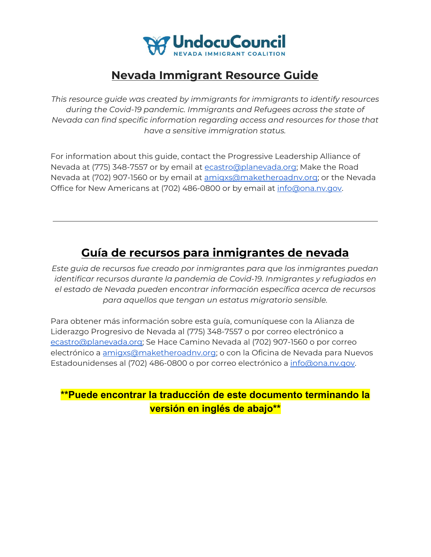

## **Nevada Immigrant Resource Guide**

*This resource guide was created by immigrants for immigrants to identify resources during the Covid-19 pandemic. Immigrants and Refugees across the state of Nevada can find specific information regarding access and resources for those that have a sensitive immigration status.*

For information about this guide, contact the Progressive Leadership Alliance of Nevada at (775) 348-7557 or by email at [ecastro@planevada.org](mailto:ecastro@planevada.org); Make the Road Nevada at (702) 907-1560 or by email at [amigxs@maketheroadnv.org;](mailto:amigxs@maketheroadnv.org) or the Nevada Office for New Americans at (702) 486-0800 or by email at [info@ona.nv.gov.](mailto:info@ona.nv.gov)

## **Guía de recursos para inmigrantes de nevada**

*Este guia de recursos fue creado por inmigrantes para que los inmigrantes puedan identificar recursos durante la pandemia de Covid-19. Inmigrantes y refugiados en el estado de Nevada pueden encontrar información específica acerca de recursos para aquellos que tengan un estatus migratorio sensible.*

Para obtener más información sobre esta guía, comuníquese con la Alianza de Liderazgo Progresivo de Nevada al (775) 348-7557 o por correo electrónico a [ecastro@planevada.org](mailto:ecastro@planevada.org); Se Hace Camino Nevada al (702) 907-1560 o por correo electrónico a [amigxs@maketheroadnv.org;](mailto:amigxs@maketheroadnv.org) o con la Oficina de Nevada para Nuevos Estadounidenses al (702) 486-0800 o por correo electrónico a [info@ona.nv.gov](mailto:info@ona.nv.gov).

## **\*\*Puede encontrar la traducción de este documento terminando la versión en inglés de abajo\*\***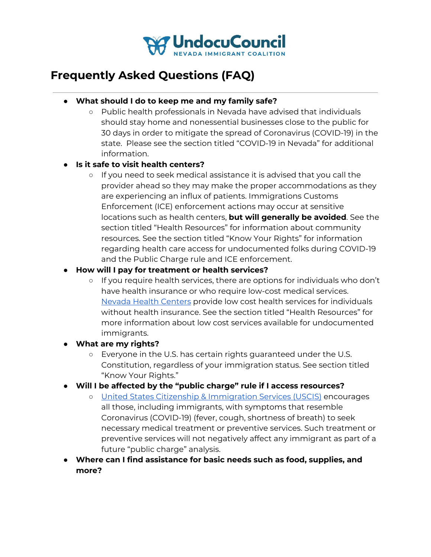

## **Frequently Asked Questions (FAQ)**

- **● What should I do to keep me and my family safe?**
	- Public health professionals in Nevada have advised that individuals should stay home and nonessential businesses close to the public for 30 days in order to mitigate the spread of Coronavirus (COVID-19) in the state. Please see the section titled "COVID-19 in Nevada" for additional information.

#### **● Is it safe to visit health centers?**

- If you need to seek medical assistance it is advised that you call the provider ahead so they may make the proper accommodations as they are experiencing an influx of patients. Immigrations Customs Enforcement (ICE) enforcement actions may occur at sensitive locations such as health centers, **but will generally be avoided**. See the section titled "Health Resources" for information about community resources. See the section titled "Know Your Rights" for information regarding health care access for undocumented folks during COVID-19 and the Public Charge rule and ICE enforcement.
- **● How will I pay for treatment or health services?**
	- If you require health services, there are options for individuals who don't have health insurance or who require low-cost medical services. Nevada Health [Centers](https://www.nevadahealthcenters.org/) provide low cost health services for individuals without health insurance. See the section titled "Health Resources" for more information about low cost services available for undocumented immigrants.
- **● What are my rights?**
	- Everyone in the U.S. has certain rights guaranteed under the U.S. Constitution, regardless of your immigration status. See section titled "Know Your Rights."
- **● Will I be affected by the "public charge" rule if I access resources?**
	- United States Citizenship & [Immigration](https://www.uscis.gov/greencard/public-charge) Services (USCIS) encourages all those, including immigrants, with symptoms that resemble Coronavirus (COVID-19) (fever, cough, shortness of breath) to seek necessary medical treatment or preventive services. Such treatment or preventive services will not negatively affect any immigrant as part of a future "public charge" analysis.
- **● Where can I find assistance for basic needs such as food, supplies, and more?**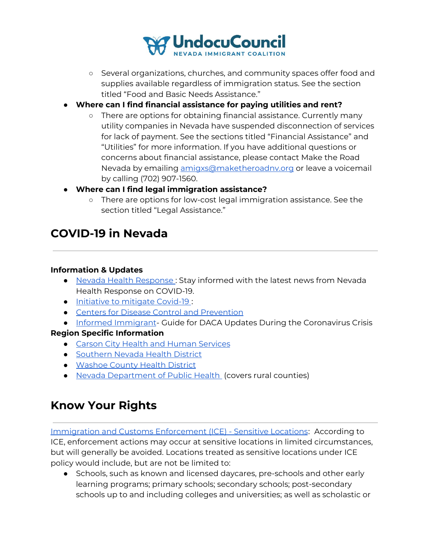

- Several organizations, churches, and community spaces offer food and supplies available regardless of immigration status. See the section titled "Food and Basic Needs Assistance."
- **● Where can I find financial assistance for paying utilities and rent?**
	- There are options for obtaining financial assistance. Currently many utility companies in Nevada have suspended disconnection of services for lack of payment. See the sections titled "Financial Assistance" and "Utilities" for more information. If you have additional questions or concerns about financial assistance, please contact Make the Road Nevada by emailing [amigxs@maketheroadnv.org](mailto:amigxs@maketheroadnv.org) or leave a voicemail by calling (702) 907-1560.
- **● Where can I find legal immigration assistance?**
	- There are options for low-cost legal immigration assistance. See the section titled "Legal Assistance."

## **COVID-19 in Nevada**

#### **Information & Updates**

- Nevada Health [Response](https://nvhealthresponse.nv.gov/) : Stay informed with the latest news from Nevada Health Response on COVID-19.
- [Initiative](https://www.scribd.com/document/452245864/NV-Health-Response-COVID19-1) to mitigate Covid-19 :
- Centers for Disease Control and [Prevention](https://www.cdc.gov/coronavirus/2019-ncov/index.html)
- Informed [Immigrant](https://www.informedimmigrant.com/guides/daca-coronavirus/) Guide for DACA Updates During the Coronavirus Crisis

#### **Region Specific Information**

- Carson City Health and Human [Services](https://gethealthycarsoncity.org/)
- [Southern](https://www.southernnevadahealthdistrict.org/coronavirus) Nevada Health District
- [Washoe](https://www.washoecounty.us/health/programs-and-services/communicable-diseases-and-epidemiology/educational_materials/COVID-19.php) County Health District
- Nevada [Department](http://dpbh.nv.gov/Programs/OPHIE/dta/Hot_Topics/Coronavirus/) of Public Health (covers rural counties)

## **Know Your Rights**

Immigration and Customs [Enforcement](https://www.ice.gov/ero/enforcement/sensitive-loc) (ICE) - Sensitive Locations: According to ICE, enforcement actions may occur at sensitive locations in limited circumstances, but will generally be avoided. Locations treated as sensitive locations under ICE policy would include, but are not be limited to:

● Schools, such as known and licensed daycares, pre-schools and other early learning programs; primary schools; secondary schools; post-secondary schools up to and including colleges and universities; as well as scholastic or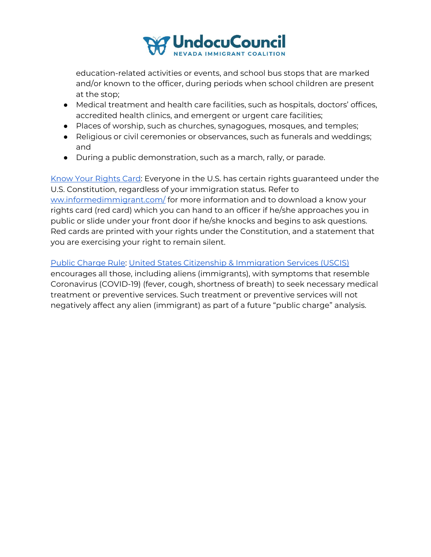

education-related activities or events, and school bus stops that are marked and/or known to the officer, during periods when school children are present at the stop;

- Medical treatment and health care facilities, such as hospitals, doctors' offices, accredited health clinics, and emergent or urgent care facilities;
- Places of worship, such as churches, synagogues, mosques, and temples;
- Religious or civil ceremonies or observances, such as funerals and weddings; and
- During a public demonstration, such as a march, rally, or parade.

Know Your [Rights](https://www.informedimmigrant.com/guides/know-your-rights/) Card: Everyone in the U.S. has certain rights guaranteed under the U.S. Constitution, regardless of your immigration status. Refer to [ww.informedimmigrant.com/](https://www.informedimmigrant.com/) for more information and to download a know your rights card (red card) which you can hand to an officer if he/she approaches you in public or slide under your front door if he/she knocks and begins to ask questions. Red cards are printed with your rights under the Constitution, and a statement that you are exercising your right to remain silent.

Public [Charge](https://www.uscis.gov/greencard/public-charge) Rule: United States Citizenship & [Immigration](https://www.uscis.gov/greencard/public-charge) Services (USCIS) encourages all those, including aliens (immigrants), with symptoms that resemble Coronavirus (COVID-19) (fever, cough, shortness of breath) to seek necessary medical treatment or preventive services. Such treatment or preventive services will not negatively affect any alien (immigrant) as part of a future "public charge" analysis.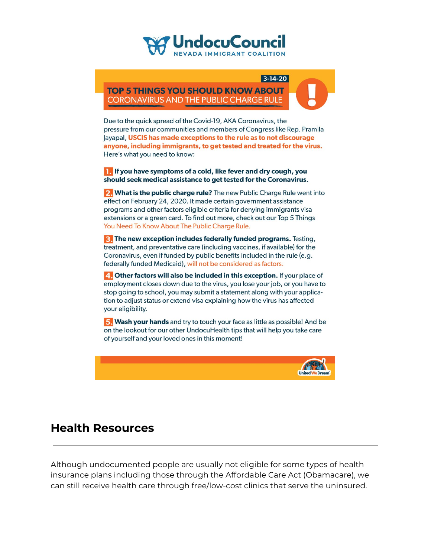## UndocuCouncil

 $3 - 14 - 20$ **TOP 5 THINGS YOU SHOULD KNOW ABOUT CORONAVIRUS AND THE PUBLIC CHARGE RULE** 



Due to the quick spread of the Covid-19, AKA Coronavirus, the pressure from our communities and members of Congress like Rep. Pramila Jayapal, USCIS has made exceptions to the rule as to not discourage anyone, including immigrants, to get tested and treated for the virus. Here's what you need to know:

**T** If you have symptoms of a cold, like fever and dry cough, you should seek medical assistance to get tested for the Coronavirus.

2. What is the public charge rule? The new Public Charge Rule went into effect on February 24, 2020. It made certain government assistance programs and other factors eligible criteria for denying immigrants visa extensions or a green card. To find out more, check out our Top 5 Things You Need To Know About The Public Charge Rule.

**B.** The new exception includes federally funded programs. Testing, treatment, and preventative care (including vaccines, if available) for the Coronavirus, even if funded by public benefits included in the rule (e.g. federally funded Medicaid), will not be considered as factors.

4. Other factors will also be included in this exception. If your place of employment closes down due to the virus, you lose your job, or you have to stop going to school, you may submit a statement along with your application to adjust status or extend visa explaining how the virus has affected your eligibility.

5. Wash your hands and try to touch your face as little as possible! And be on the lookout for our other UndocuHealth tips that will help you take care of yourself and your loved ones in this moment!



### **Health Resources**

Although undocumented people are usually not eligible for some types of health insurance plans including those through the Affordable Care Act (Obamacare), we can still receive health care through free/low-cost clinics that serve the uninsured.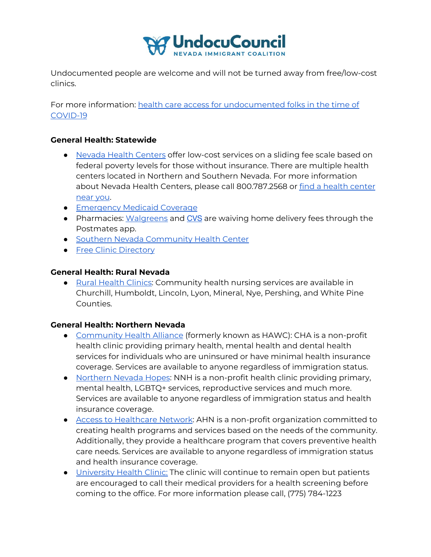

Undocumented people are welcome and will not be turned away from free/low-cost clinics.

For more information: health care access for [undocumented](https://unitedwedream.org/2020/03/healthcare-access-for-undocumented-folks-in-the-time-of-covid19/?fbclid=IwAR0LVgZYucKrCCp1YLc5xGYccegZgtIAvdrzxELT0ldm22tih-rLy5zwAHg) folks in the time of [COVID-19](https://unitedwedream.org/2020/03/healthcare-access-for-undocumented-folks-in-the-time-of-covid19/?fbclid=IwAR0LVgZYucKrCCp1YLc5xGYccegZgtIAvdrzxELT0ldm22tih-rLy5zwAHg)

#### **General Health: Statewide**

- Nevada Health [Centers](https://www.nevadahealthcenters.org/) offer low-cost services on a sliding fee scale based on federal poverty levels for those without insurance. There are multiple health centers located in Northern and Southern Nevada. For more information about Nevada Health Centers, please call 800.787.2568 or find a health [center](https://www.nevadahealthcenters.org/locations/) [near](https://www.nevadahealthcenters.org/locations/) you.
- [Emergency](https://dwss.nv.gov/Medical/2_General_Information/) Medicaid Coverage
- Pharmacies: [Walgreens](https://news.walgreens.com/press-releases/general-news/walgreens-takes-further-action-to-support-customers-during-covid-19-pandemic.htm) and [CVS](https://www.cvs.com/) are waiving home delivery fees through the Postmates app.
- Southern Nevada [Community](https://www.southernnevadahealthdistrict.org/southern-nevada-community-health-center) Health Center
- Free Clinic [Directory](https://freeclinicdirectory.org/search)

#### **General Health: Rural Nevada**

● Rural [Health](http://dpbh.nv.gov/Programs/ClinicalCN/Locations/Rural_Community_Health_Services_Locations/) Clinics: Community health nursing services are available in Churchill, Humboldt, Lincoln, Lyon, Mineral, Nye, Pershing, and White Pine Counties.

#### **General Health: Northern Nevada**

- [Community](https://www.chanevada.org/) Health Alliance (formerly known as HAWC): CHA is a non-profit health clinic providing primary health, mental health and dental health services for individuals who are uninsured or have minimal health insurance coverage. Services are available to anyone regardless of immigration status.
- [Northern](https://www.nnhopes.org/) Nevada Hopes: NNH is a non-profit health clinic providing primary, mental health, LGBTQ+ services, reproductive services and much more. Services are available to anyone regardless of immigration status and health insurance coverage.
- Access to [Healthcare](https://www.accesstohealthcare.org/) Network: AHN is a non-profit organization committed to creating health programs and services based on the needs of the community. Additionally, they provide a healthcare program that covers preventive health care needs. Services are available to anyone regardless of immigration status and health insurance coverage.
- [University](https://med.unr.edu/university-health) Health Clinic: The clinic will continue to remain open but patients are encouraged to call their medical providers for a health screening before coming to the office. For more information please call, (775) 784-1223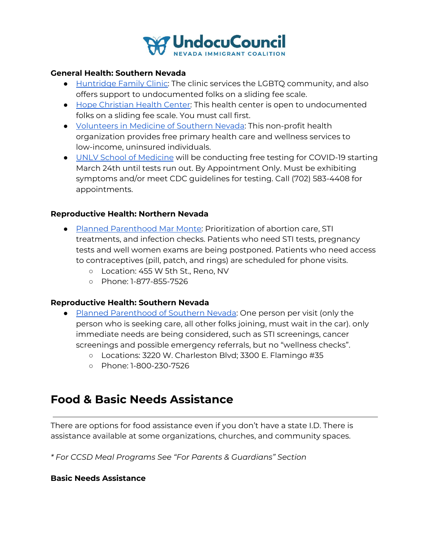

#### **General Health: Southern Nevada**

- [Huntridge](https://www.huntridgefamilyclinic.org/) Family Clinic: The clinic services the LGBTQ community, and also offers support to undocumented folks on a sliding fee scale.
- Hope [Christian](https://hopehealthvegas.org/) Health Center: This health center is open to undocumented folks on a sliding fee scale. You must call first.
- [Volunteers](http://www.vmsn.org/about-us/) in Medicine of Southern Nevada: This non-profit health organization provides free primary health care and wellness services to low-income, uninsured individuals.
- UNLV School of [Medicine](https://twitter.com/UNLVmedicine/status/1242258461770964992/photo/1) will be conducting free testing for COVID-19 starting March 24th until tests run out. By Appointment Only. Must be exhibiting symptoms and/or meet CDC guidelines for testing. Call (702) 583-4408 for appointments.

#### **Reproductive Health: Northern Nevada**

- Planned [Parenthood](https://www.plannedparenthood.org/planned-parenthood-mar-monte) Mar Monte: Prioritization of abortion care, STI treatments, and infection checks. Patients who need STI tests, pregnancy tests and well women exams are being postponed. Patients who need access to contraceptives (pill, patch, and rings) are scheduled for phone visits.
	- o Location: 455 W 5th St., Reno, NV
	- Phone: 1-877-855-7526

#### **Reproductive Health: Southern Nevada**

- Planned [Parenthood](https://www.plannedparenthood.org/planned-parenthood-rocky-mountains) of Southern Nevada: One person per visit (only the person who is seeking care, all other folks joining, must wait in the car). only immediate needs are being considered, such as STI screenings, cancer screenings and possible emergency referrals, but no "wellness checks".
	- Locations: 3220 W. Charleston Blvd; 3300 E. Flamingo #35
	- Phone: 1-800-230-7526

## **Food & Basic Needs Assistance**

There are options for food assistance even if you don't have a state I.D. There is assistance available at some organizations, churches, and community spaces.

*\* For CCSD Meal Programs See "For Parents & Guardians" Section*

#### **Basic Needs Assistance**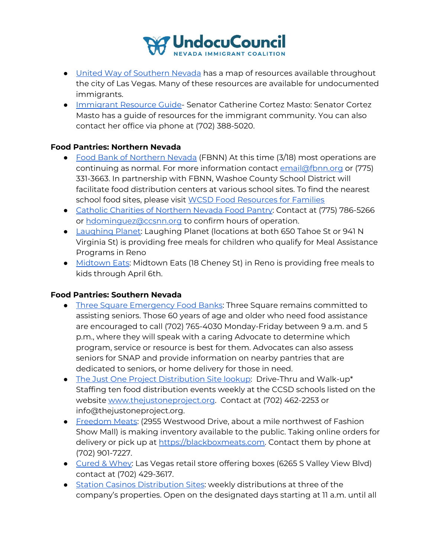

- United Way of [Southern](https://public.tableau.com/profile/united.way.of.southern.nevada#!/vizhome/COVID-19EmergencyAssistanceAssetMap/COVID-19EmergencyAssistanceAssetMap) Nevada has a map of resources available throughout the city of Las Vegas. Many of these resources are available for undocumented immigrants.
- [Immigrant](https://www.cortezmasto.senate.gov/imo/media/doc/297114%20Digital%20Constituent%20Services%20(English).pdf) Resource Guide- Senator Catherine Cortez Masto: Senator Cortez Masto has a guide of resources for the immigrant community. You can also contact her office via phone at (702) 388-5020.

#### **Food Pantries: Northern Nevada**

- Food Bank of [Northern](https://fbnn.org/) Nevada (FBNN) At this time (3/18) most operations are continuing as normal. For more information contact [email@fbnn.org](mailto:email@fbnn.org) or (775) 331-3663. In partnership with FBNN, Washoe County School District will facilitate food distribution centers at various school sites. To find the nearest school food sites, please visit WCSD Food [Resources](https://www.washoeschools.net/Page/14379) for Families
- Catholic Charities of [Northern](https://ccsnn.org/pages/food-pantry) Nevada Food Pantry: Contact at (775) 786-5266 or [hdominguez@ccsnn.org](mailto:hdominguez@ccsnn.org) to confirm hours of operation.
- [Laughing](https://laughingplanet.com/) Planet: Laughing Planet (locations at both 650 Tahoe St or 941 N Virginia St) is providing free meals for children who qualify for Meal Assistance Programs in Reno
- [Midtown](http://www.midtowneatsreno.com/) Eats: Midtown Eats (18 Cheney St) in Reno is providing free meals to kids through April 6th.

#### **Food Pantries: Southern Nevada**

- Three Square [Emergency](https://www.threesquare.org/help) Food Banks: Three Square remains committed to assisting seniors. Those 60 years of age and older who need food assistance are encouraged to call (702) 765-4030 Monday-Friday between 9 a.m. and 5 p.m., where they will speak with a caring Advocate to determine which program, service or resource is best for them. Advocates can also assess seniors for SNAP and provide information on nearby pantries that are dedicated to seniors, or home delivery for those in need.
- The Just One Project [Distribution](https://sites.google.com/nv.ccsd.net/covid-19updates/food-distribution-information#h.d5utc7qq4s9m) Site lookup: Drive-Thru and Walk-up\* Staffing ten food distribution events weekly at the CCSD schools listed on the website [www.thejustoneproject.org](http://www.thejustoneproject.org/). Contact at (702) 462-2253 or info@thejustoneproject.org.
- [Freedom](https://blackboxmeats.com/) Meats: (2955 Westwood Drive, about a mile northwest of Fashion Show Mall) is making inventory available to the public. Taking online orders for delivery or pick up at [https://blackboxmeats.com](https://blackboxmeats.com/). Contact them by phone at (702) 901-7227.
- [Cured](https://curedandwhey.com/) & Whey: Las Vegas retail store offering boxes (6265 S Valley View Blvd) contact at (702) 429-3617.
- Station Casinos [Distribution](https://sites.google.com/nv.ccsd.net/covid-19updates/food-distribution-information#h.2gbqcqafdh82) Sites: weekly distributions at three of the company's properties. Open on the designated days starting at 11 a.m. until all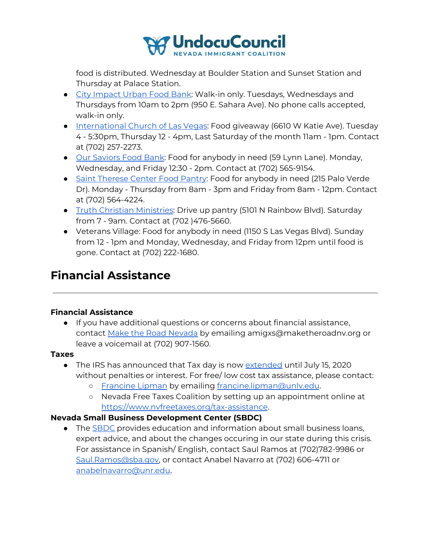

food is distributed. Wednesday at Boulder Station and Sunset Station and Thursday at Palace Station.

- City [Impact](https://cicnv.org/programs/) Urban Food Bank: Walk-in only. Tuesdays, Wednesdays and Thursdays from 10am to 2pm (950 E. Sahara Ave). No phone calls accepted, walk-in only.
- [International](https://iclv.com/outreach/) Church of Las Vegas: Food giveaway (6610 W Katie Ave). Tuesday 4 - 5:30pm, Thursday 12 - 4pm, Last Saturday of the month 11am - 1pm. Contact at (702) 257-2273.
- Our [Saviors](https://oursaviorschurch.net/foodbank/) Food Bank: Food for anybody in need (59 Lynn Lane). Monday, Wednesday, and Friday 12:30 - 2pm. Contact at (702) 565-9154.
- Saint [Therese](http://www.sainttheresecenter.org/pantry.html) Center Food Pantry: Food for anybody in need (215 Palo Verde Dr). Monday - Thursday from 8am - 3pm and Friday from 8am - 12pm. Contact at (702) 564-4224.
- Truth Christian [Ministries](https://tcmi.church/): Drive up pantry (5101 N Rainbow Blvd). Saturday from 7 - 9am. Contact at (702 )476-5660.
- Veterans Village: Food for anybody in need (1150 S Las Vegas Blvd). Sunday from 12 - 1pm and Monday, Wednesday, and Friday from 12pm until food is gone. Contact at (702) 222-1680.

## **Financial Assistance**

#### **Financial Assistance**

● If you have additional questions or concerns about financial assistance, contact Make the Road [Nevada](https://maketheroadnv.org/) by emailing amigxs@maketheroadnv.org or leave a voicemail at (702) 907-1560.

#### **Taxes**

- The IRS has announced that Tax day is now [extended](https://www.irs.gov/coronavirus) until July 15, 2020 without penalties or interest. For free/ low cost tax assistance, please contact:
	- o [Francine](https://law.unlv.edu/faculty/francine-lipman) Lipman by emailing francine.lipman@unly.edu.
	- Nevada Free Taxes Coalition by setting up an appointment online at <https://www.nvfreetaxes.org/tax-assistance>.

#### **Nevada Small Business Development Center (SBDC)**

● The [SBDC](http://www.nevadasbdc.org/) provides education and information about small business loans, expert advice, and about the changes occuring in our state during this crisis. For assistance in Spanish/ English, contact Saul Ramos at (702)782-9986 or [Saul.Ramos@sba.gov,](mailto:Saul.Ramos@sba.gov) or contact Anabel Navarro at (702) 606-4711 or [anabelnavarro@unr.edu.](mailto:anabelnavarro@unr.edu)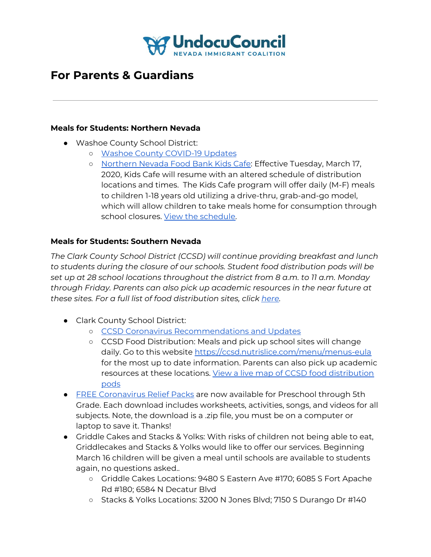

## **For Parents & Guardians**

#### **Meals for Students: Northern Nevada**

- Washoe County School District:
	- o Washoe County [COVID-19](https://www.washoeschools.net/covid19) Updates
	- [Northern](https://fbnn.org/get-help/kidscafe/) Nevada Food Bank Kids Cafe: Effective Tuesday, March 17, 2020, Kids Cafe will resume with an altered schedule of distribution locations and times. The Kids Cafe program will offer daily (M-F) meals to children 1-18 years old utilizing a drive-thru, grab-and-go model, which will allow children to take meals home for consumption through school closures. View the [schedule](https://fbnn.org/wp-content/uploads/2020/03/FBNN-Kids-Cafe-2020-School-Closure-Schedule-as-of-20200317.pdf).

#### **Meals for Students: Southern Nevada**

*The Clark County School District (CCSD) will continue providing breakfast and lunch to students during the closure of our schools. Student food distribution pods will be set up at 28 school locations throughout the district from 8 a.m. to 11 a.m. Monday through Friday. Parents can also pick up academic resources in the near future at these sites. For a full list of food distribution sites, click [here.](https://sites.google.com/nv.ccsd.net/covid-19updates/)*

- Clark County School District:
	- CCSD Coronavirus [Recommendations](http://newsroom.ccsd.net/southern-nevada-health-district-recommendations/) and Updates
	- CCSD Food Distribution: Meals and pick up school sites will change daily. Go to this website <https://ccsd.nutrislice.com/menu/menus-eula> for the most up to date information. Parents can also pick up academic resources at these locations. View a live map of CCSD food [distribution](https://www.ccsd.net/departments/food-service/) [pods](https://www.ccsd.net/departments/food-service/)
- **•** FREE [Coronavirus](https://www.havefunteaching.com/resources/relief-packs/) Relief Packs are now available for Preschool through 5th Grade. Each download includes worksheets, activities, songs, and videos for all subjects. Note, the download is a .zip file, you must be on a computer or laptop to save it. Thanks!
- Griddle Cakes and Stacks & Yolks: With risks of children not being able to eat, Griddlecakes and Stacks & Yolks would like to offer our services. Beginning March 16 children will be given a meal until schools are available to students again, no questions asked..
	- Griddle Cakes Locations: 9480 S Eastern Ave #170; 6085 S Fort Apache Rd #180; 6584 N Decatur Blvd
	- Stacks & Yolks Locations: 3200 N Jones Blvd; 7150 S Durango Dr #140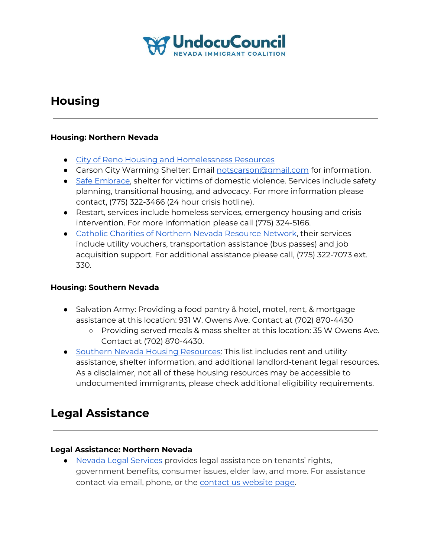

## **Housing**

#### **Housing: Northern Nevada**

- City of Reno Housing and [Homelessness](https://www.reno.gov/government/departments/community-development-department/housing-neighborhood-development) Resources
- Carson City Warming Shelter: Email [notscarson@gmail.com](mailto:notscarson@gmail.com) for information.
- Safe [Embrace](http://www.safeembrace.org/), shelter for victims of domestic violence. Services include safety planning, transitional housing, and advocacy. For more information please contact, (775) 322-3466 (24 hour crisis hotline).
- Restart, services include homeless services, emergency housing and crisis intervention. For more information please call (775) 324-5166.
- Catholic Charities of Northern Nevada [Resource](https://ccsnn.org/pages/resource-hub) Network, their services include utility vouchers, transportation assistance (bus passes) and job acquisition support. For additional assistance please call, (775) 322-7073 ext. 330.

#### **Housing: Southern Nevada**

- Salvation Army: Providing a food pantry & hotel, motel, rent, & mortgage assistance at this location: 931 W. Owens Ave. Contact at (702) 870-4430
	- Providing served meals & mass shelter at this location: 35 W Owens Ave. Contact at (702) 870-4430.
- Southern Nevada Housing [Resources:](https://drive.google.com/file/d/1CoZ-DNBKebDj5dlLaqQSUJXemM72i85w/view?usp=sharing) This list includes rent and utility assistance, shelter information, and additional landlord-tenant legal resources. As a disclaimer, not all of these housing resources may be accessible to undocumented immigrants, please check additional eligibility requirements.

## **Legal Assistance**

#### **Legal Assistance: Northern Nevada**

● Nevada Legal [Services](https://nlslaw.net/) provides legal assistance on tenants' rights, government benefits, consumer issues, elder law, and more. For assistance contact via email, phone, or the contact us [website](https://nlslaw.net/contact/) page.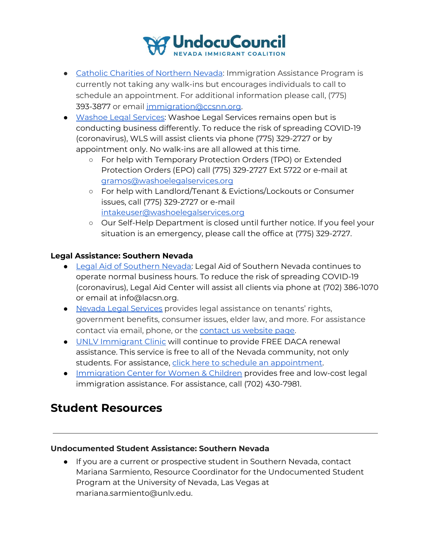

- Catholic Charities of [Northern](https://ccsnn.org/pages/immigration-assistance) Nevada: Immigration Assistance Program is currently not taking any walk-ins but encourages individuals to call to schedule an appointment. For additional information please call, (775) 393-3877 or email [immigration@ccsnn.org.](mailto:immigration@ccsnn.org)
- Washoe Legal [Services:](https://washoelegalservices.org/) Washoe Legal Services remains open but is conducting business differently. To reduce the risk of spreading COVID-19 (coronavirus), WLS will assist clients via phone (775) 329-2727 or by appointment only. No walk-ins are all allowed at this time.
	- For help with Temporary Protection Orders (TPO) or Extended Protection Orders (EPO) call (775) 329-2727 Ext 5722 or e-mail at [gramos@washoelegalservices.org](mailto:gramos@washoelegalservices.org)
	- For help with Landlord/Tenant & Evictions/Lockouts or Consumer issues, call (775) 329-2727 or e-mail [intakeuser@washoelegalservices.org](mailto:intakeuser@washoelegalservices.org)
	- Our Self-Help Department is closed until further notice. If you feel your situation is an emergency, please call the office at (775) 329-2727.

#### **Legal Assistance: Southern Nevada**

- Legal Aid of [Southern](https://www.lacsn.org/) Nevada: Legal Aid of Southern Nevada continues to operate normal business hours. To reduce the risk of spreading COVID-19 (coronavirus), Legal Aid Center will assist all clients via phone at (702) 386-1070 or email at [info@lacsn.org](mailto:info@lacsn.org).
- Nevada Legal [Services](https://nlslaw.net/) provides legal assistance on tenants' rights, government benefits, consumer issues, elder law, and more. For assistance contact via email, phone, or the contact us [website](https://nlslaw.net/contact/) page.
- UNLV [Immigrant](https://law.unlv.edu/clinics/immigration) Clinic will continue to provide FREE DACA renewal assistance. This service is free to all of the Nevada community, not only students. For assistance, click here to schedule an [appointment](https://calendly.com/university-legal-services/daca-renewal?month=2020-03).
- **•** [Immigration](https://www.icwclaw.org/contact) Center for Women & Children provides free and low-cost legal immigration assistance. For assistance, call (702) 430-7981.

## **Student Resources**

#### **Undocumented Student Assistance: Southern Nevada**

● If you are a current or prospective student in Southern Nevada, contact Mariana Sarmiento, Resource Coordinator for the Undocumented Student Program at the University of Nevada, Las Vegas at mariana.sarmiento@unlv.edu.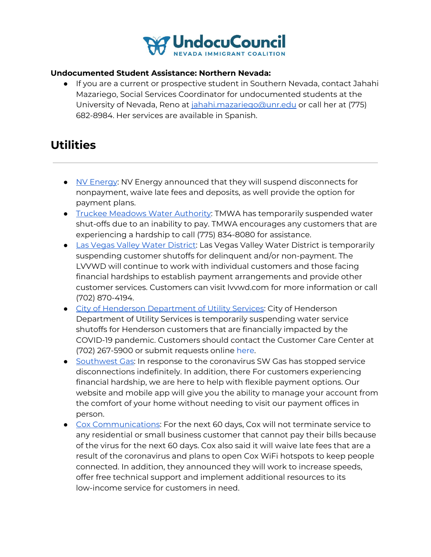

#### **Undocumented Student Assistance: Northern Nevada:**

● If you are a current or prospective student in Southern Nevada, contact Jahahi Mazariego, Social Services Coordinator for undocumented students at the University of Nevada, Reno at [jahahi.mazariego@unr.edu](mailto:jahahi.mazariego@unr.edu) or call her at (775) 682-8984. Her services are available in Spanish.

## **Utilities**

- NV [Energy](https://www.nvenergy.com/alwayson/cannon-message-covid19): NV Energy announced that they will suspend disconnects for nonpayment, waive late fees and deposits, as well provide the option for payment plans.
- Truckee [Meadows](https://tmwa.com/article/tmwa-covid-19-coronavirus-response-and-faqs/) Water Authority: TMWA has temporarily suspended water shut-offs due to an inability to pay. TMWA encourages any customers that are experiencing a hardship to call (775) 834-8080 for assistance.
- Las Vegas Valley Water [District](http://lvvwd.com/): Las Vegas Valley Water District is temporarily suspending customer shutoffs for delinquent and/or non-payment. The LVVWD will continue to work with individual customers and those facing financial hardships to establish payment arrangements and provide other customer services. Customers can visit lvvwd.com for more information or call (702) 870-4194.
- **•** City of Henderson [Department](https://clients.comcate.com/newrequest.php?id=90&dept=903) of Utility Services: City of Henderson Department of Utility Services is temporarily suspending water service shutoffs for Henderson customers that are financially impacted by the COVID-19 pandemic. Customers should contact the Customer Care Center at (702) 267-5900 or submit requests online [here.](https://clients.comcate.com/newrequest.php?id=90&dept=903)
- [Southwest](https://www.swgas.com/en/covid19) Gas: In response to the coronavirus SW Gas has stopped service disconnections indefinitely. In addition, there For customers experiencing financial hardship, we are here to help with flexible payment options. Our website and mobile app will give you the ability to manage your account from the comfort of your home without needing to visit our payment offices in person.
- Cox [Communications](https://www.cox.com/residential/support/coronavirus-response.html?campcode=tnt-home-alert): For the next 60 days, Cox will not terminate service to any residential or small business customer that cannot pay their bills because of the virus for the next 60 days. Cox also said it will waive late fees that are a result of the coronavirus and plans to open Cox WiFi hotspots to keep people connected. In addition, they announced they will work to increase speeds, offer free technical support and implement additional resources to its low-income service for customers in need.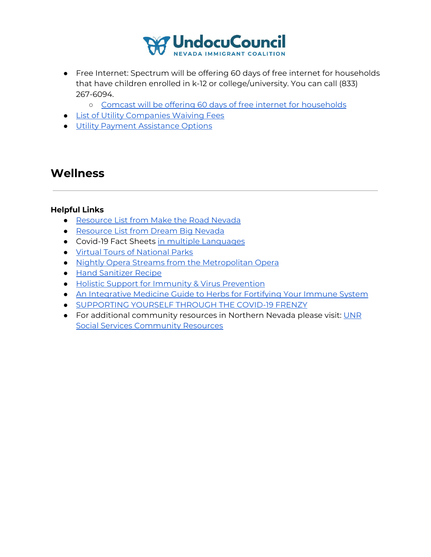

- Free Internet: Spectrum will be offering 60 days of free internet for households that have children enrolled in k-12 or college/university. You can call (833) 267-6094.
	- Comcast will be offering 60 days of free internet for [households](https://www.internetessentials.com/covid19#thingstoknow&all_DoIliveinaComcastarea)
- List of Utility [Companies](https://wset.com/news/coronavirus/att-verizon-waiving-fees-comcast-offering-free-internet-amid-coronavirus-outbreak) Waiving Fees
- Utility Payment [Assistance](https://www.nevada211.org/utility-services/) Options

## **Wellness**

#### **Helpful Links**

- [Resource](https://maketheroadnv.org/resources/) List from Make the Road Nevada
- [Resource](https://dreambignv.org/resources/) List from Dream Big Nevada
- Covid-19 Fact Sheets in multiple [Languages](https://www.seattletimes.com/seattle-news/health/coronavirus-facts-in-spanish-chinese-amharic-and-other-languages-for-seattle-area-residents/?fbclid=IwAR2N_PrY9Xb4ZMRZU-gmd89_ZZNtxc00U8scc-R7CSSG17NtRH3bnpyXeSY)
- Virtual Tours of [National](https://totallythebomb.com/heres-33-national-park-tours-you-can-take-virtually-from-the-comfort-of-your-home) Parks
- Nightly Opera Streams from the [Metropolitan](https://www.metopera.org/) Opera
- Hand [Sanitizer](https://www.theverge.com/2020/3/2/21161346/hand-sanitizer-diy-how-to-hand-wash-cdc-alcohol-virus-illness) Recipe
- Holistic Support for Immunity & Virus [Prevention](https://www.drdianaquinn.com/blog/xajgbblyzm53szcm3jskjrtpzph49c?fbclid=IwAR3o6ARnGWW4r5KJ-9AJK7JYKWTQqBhGN1r2Wjxapsyu5Sfiqe-plDpXkPk)
- An [Integrative](https://www.crystalrunhealthcare.com/articles/integrative-medicine-guide-herbs-fortifying-your-immune-system) Medicine Guide to Herbs for Fortifying Your Immune System
- [SUPPORTING](https://leatamae.com/blog/2020/3/11/supporting-yourself-through-the-covid-19-panic) YOURSELF THROUGH THE COVID-19 FRENZY
- For additional community resources in Northern Nevada please visit: [UNR](https://nevada.box.com/v/SSC-resourcelists) Social Services [Community](https://nevada.box.com/v/SSC-resourcelists) Resources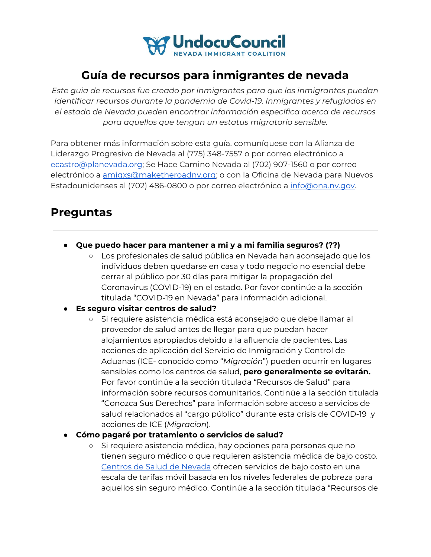

## **Guía de recursos para inmigrantes de nevada**

*Este guia de recursos fue creado por inmigrantes para que los inmigrantes puedan identificar recursos durante la pandemia de Covid-19. Inmigrantes y refugiados en el estado de Nevada pueden encontrar información específica acerca de recursos para aquellos que tengan un estatus migratorio sensible.*

Para obtener más información sobre esta guía, comuníquese con la Alianza de Liderazgo Progresivo de Nevada al (775) 348-7557 o por correo electrónico a [ecastro@planevada.org](mailto:ecastro@planevada.org); Se Hace Camino Nevada al (702) 907-1560 o por correo electrónico a [amigxs@maketheroadnv.org;](mailto:amigxs@maketheroadnv.org) o con la Oficina de Nevada para Nuevos Estadounidenses al (702) 486-0800 o por correo electrónico a [info@ona.nv.gov](mailto:info@ona.nv.gov).

## **Preguntas**

- **● Que puedo hacer para mantener a mi y a mi familia seguros? (??)**
	- Los profesionales de salud pública en Nevada han aconsejado que los individuos deben quedarse en casa y todo negocio no esencial debe cerrar al público por 30 días para mitigar la propagación del Coronavirus (COVID-19) en el estado. Por favor continúe a la sección titulada "COVID-19 en Nevada" para información adicional.
- **● Es seguro visitar centros de salud?**
	- Si requiere asistencia médica está aconsejado que debe llamar al proveedor de salud antes de llegar para que puedan hacer alojamientos apropiados debido a la afluencia de pacientes. Las acciones de aplicación del Servicio de Inmigración y Control de Aduanas (ICE- conocido como "*Migración*") pueden ocurrir en lugares sensibles como los centros de salud, **pero generalmente se evitarán.** Por favor continúe a la sección titulada "Recursos de Salud" para información sobre recursos comunitarios. Continúe a la sección titulada "Conozca Sus Derechos" para información sobre acceso a servicios de salud relacionados al "cargo público" durante esta crisis de COVID-19 y acciones de ICE (*Migracion*).
- **Cómo pagaré por tratamiento o servicios de salud?**
	- Si requiere asistencia médica, hay opciones para personas que no tienen seguro médico o que requieren asistencia médica de bajo costo. [Centros](https://www.nevadahealthcenters.org/) de Salud de Nevada ofrecen servicios de bajo costo en una escala de tarifas móvil basada en los niveles federales de pobreza para aquellos sin seguro médico. Continúe a la sección titulada "Recursos de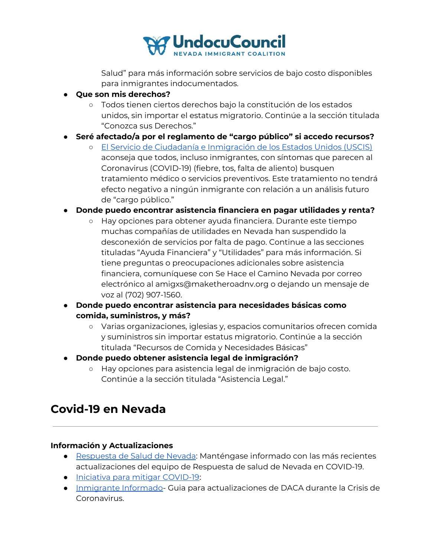

Salud" para más información sobre servicios de bajo costo disponibles para inmigrantes indocumentados.

- **● Que son mis derechos?**
	- Todos tienen ciertos derechos bajo la constitución de los estados unidos, sin importar el estatus migratorio. Continúe a la sección titulada "Conozca sus Derechos."
- **● Seré afectado/a por el reglamento de "cargo público" si accedo recursos?**
	- **○** El Servicio de Ciudadanía e [Inmigración](https://www.uscis.gov/greencard/public-charge) de los Estados Unidos (USCIS) aconseja que todos, incluso inmigrantes, con síntomas que parecen al Coronavirus (COVID-19) (fiebre, tos, falta de aliento) busquen tratamiento médico o servicios preventivos. Este tratamiento no tendrá efecto negativo a ningún inmigrante con relación a un análisis futuro de "cargo público."

#### **● Donde puedo encontrar asistencia financiera en pagar utilidades y renta?**

- Hay opciones para obtener ayuda financiera. Durante este tiempo muchas compañías de utilidades en Nevada han suspendido la desconexión de servicios por falta de pago. Continue a las secciones tituladas "Ayuda Financiera" y "Utilidades" para más información. Si tiene preguntas o preocupaciones adicionales sobre asistencia financiera, comuníquese con Se Hace el Camino Nevada por correo electrónico al amigxs@maketheroadnv.org o dejando un mensaje de voz al (702) 907-1560.
- **● Donde puedo encontrar asistencia para necesidades básicas como comida, suministros, y más?**
	- Varias organizaciones, iglesias y, espacios comunitarios ofrecen comida y suministros sin importar estatus migratorio. Continúe a la sección titulada "Recursos de Comida y Necesidades Básicas"
- **● Donde puedo obtener asistencia legal de inmigración?**
	- Hay opciones para asistencia legal de inmigración de bajo costo. Continúe a la sección titulada "Asistencia Legal."

## **Covid-19 en Nevada**

#### **Información y Actualizaciones**

- [Respuesta](https://nvhealthresponse.nv.gov/) de Salud de Nevada: Manténgase informado con las más recientes actualizaciones del equipo de Respuesta de salud de Nevada en COVID-19.
- Iniciativa para mitigar [COVID-19](https://www.scribd.com/document/452245864/NV-Health-Response-COVID19-1):
- [Inmigrante](https://www.informedimmigrant.com/guides/daca-coronavirus/) Informado- Guia para actualizaciones de DACA durante la Crisis de Coronavirus.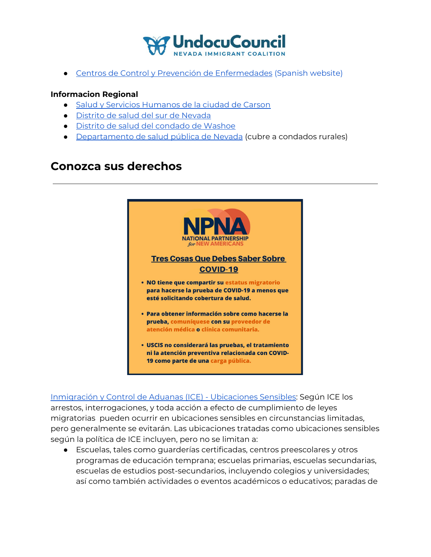

● Centros de Control y Prevención de [Enfermedades](https://www.cdc.gov/spanish/) (Spanish website)

#### **Informacion Regional**

- Salud y Servicios [Humanos](https://gethealthycarsoncity.org/) de la ciudad de Carson
- Distrito de salud del sur de [Nevada](https://www.southernnevadahealthdistrict.org/coronavirus)
- Distrito de salud del [condado](https://www.washoecounty.us/health/programs-and-services/communicable-diseases-and-epidemiology/educational_materials/COVID-19.php) de Washoe
- [Departamento](http://dpbh.nv.gov/Programs/OPHIE/dta/Hot_Topics/Coronavirus/) de salud pública de Nevada (cubre a condados rurales)

## **Conozca sus derechos**



[Inmigración](https://www.ice.gov/es/zonas-sensibles) y Control de Aduanas (ICE) - Ubicaciones Sensibles: Según ICE los arrestos, interrogaciones, y toda acción a efecto de cumplimiento de leyes migratorias pueden ocurrir en ubicaciones sensibles en circunstancias limitadas, pero generalmente se evitarán. Las ubicaciones tratadas como ubicaciones sensibles según la política de ICE incluyen, pero no se limitan a:

● Escuelas, tales como guarderías certificadas, centros preescolares y otros programas de educación temprana; escuelas primarias, escuelas secundarias, escuelas de estudios post-secundarios, incluyendo colegios y universidades; así como también actividades o eventos académicos o educativos; paradas de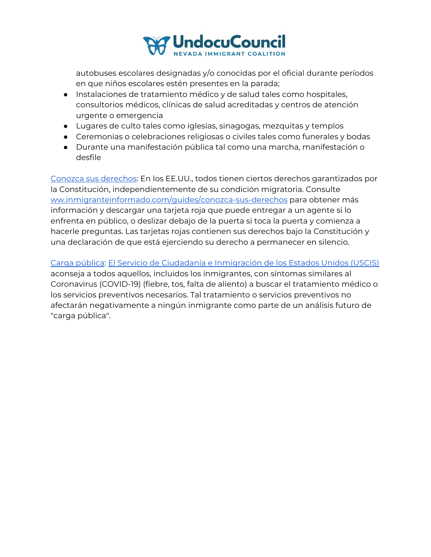

autobuses escolares designadas y/o conocidas por el oficial durante períodos en que niños escolares estén presentes en la parada;

- Instalaciones de tratamiento médico y de salud tales como hospitales, consultorios médicos, clínicas de salud acreditadas y centros de atención urgente o emergencia
- Lugares de culto tales como iglesias, sinagogas, mezquitas y templos
- Ceremonias o celebraciones religiosas o civiles tales como funerales y bodas
- Durante una manifestación pública tal como una marcha, manifestación o desfile

Conozca sus [derechos](https://www.inmigranteinformado.com/guides/conozca-sus-derechos/#): En los EE.UU., todos tienen ciertos derechos garantizados por la Constitución, independientemente de su condición migratoria. Consulte [ww.inmigranteinformado.com/guides/conozca-sus-derechos](https://www.inmigranteinformado.com/guides/conozca-sus-derechos/#) para obtener más información y descargar una tarjeta roja que puede entregar a un agente si lo enfrenta en público, o deslizar debajo de la puerta si toca la puerta y comienza a hacerle preguntas. Las tarjetas rojas contienen sus derechos bajo la Constitución y una declaración de que está ejerciendo su derecho a permanecer en silencio.

Carga [pública](https://www.uscis.gov/es/tarjeta-verde/carga-publica): El Servicio de Ciudadanía e [Inmigración](https://www.uscis.gov/greencard/public-charge) de los Estados Unidos (USCIS) aconseja a todos aquellos, incluidos los inmigrantes, con síntomas similares al Coronavirus (COVID-19) (fiebre, tos, falta de aliento) a buscar el tratamiento médico o los servicios preventivos necesarios. Tal tratamiento o servicios preventivos no afectarán negativamente a ningún inmigrante como parte de un análisis futuro de "carga pública".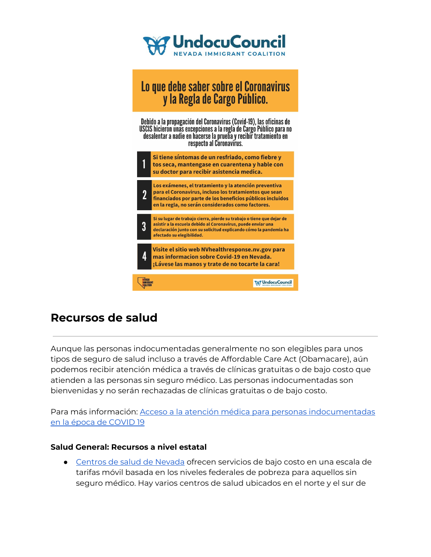

# Lo que debe saber sobre el Coronavirus<br>y la Regla de Cargo Público.

Debido a la propagación del Coronavirus (Covid-19), las oficinas de USCIS hicieron unas excepciones a la regla de Cargo Público para no desalentar a nadie en hacerse la prueba y recibir tratamiento en respecto al Coronavirus.



## **Recursos de salud**

Aunque las personas indocumentadas generalmente no son elegibles para unos tipos de seguro de salud incluso a través de Affordable Care Act (Obamacare), aún podemos recibir atención médica a través de clínicas gratuitas o de bajo costo que atienden a las personas sin seguro médico. Las personas indocumentadas son bienvenidas y no serán rechazadas de clínicas gratuitas o de bajo costo.

Para más información: Acceso a la atención médica para personas [indocumentadas](https://unitedwedream.org/2020/03/healthcare-access-for-undocumented-folks-in-the-time-of-covid19/?fbclid=IwAR0LVgZYucKrCCp1YLc5xGYccegZgtIAvdrzxELT0ldm22tih-rLy5zwAHg) en la época de [COVID](https://unitedwedream.org/2020/03/healthcare-access-for-undocumented-folks-in-the-time-of-covid19/?fbclid=IwAR0LVgZYucKrCCp1YLc5xGYccegZgtIAvdrzxELT0ldm22tih-rLy5zwAHg) 19

#### **Salud General: Recursos a nivel estatal**

● [Centros](https://www.nevadahealthcenters.org/) de salud de Nevada ofrecen servicios de bajo costo en una escala de tarifas móvil basada en los niveles federales de pobreza para aquellos sin seguro médico. Hay varios centros de salud ubicados en el norte y el sur de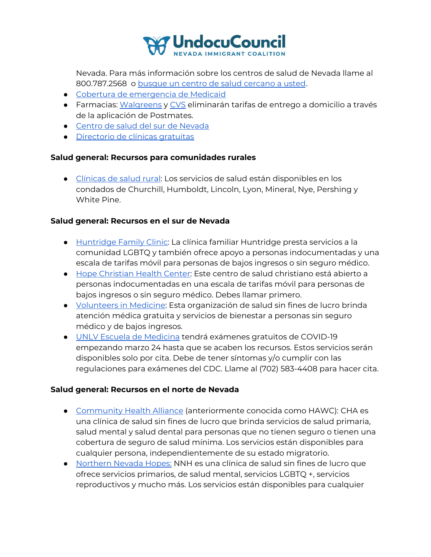

Nevada. Para más información sobre los centros de salud de Nevada llame al 800.787.2568 o busque un centro de salud [cercano](https://www.nevadahealthcenters.org/locations/) a usted.

- Cobertura de [emergencia](https://dwss.nv.gov/Medical/2_General_Information/) de Medicaid
- Farmacias: [Walgreens](https://news.walgreens.com/press-releases/general-news/walgreens-takes-further-action-to-support-customers-during-covid-19-pandemic.htm) y [CVS](https://www.cvs.com/) eliminarán tarifas de entrego a domicilio a través de la aplicación de Postmates.
- Centro de salud del sur de [Nevada](https://www.southernnevadahealthdistrict.org/)
- [Directorio](https://freeclinicdirectory.org/about) de clínicas gratuitas

#### **Salud general: Recursos para comunidades rurales**

● [Clínicas](http://dpbh.nv.gov/Programs/ClinicalCN/Locations/Rural_Community_Health_Services_Locations/) de salud rural: Los servicios de salud están disponibles en los condados de Churchill, Humboldt, Lincoln, Lyon, Mineral, Nye, Pershing y White Pine.

#### **Salud general: Recursos en el sur de Nevada**

- [Huntridge](https://www.huntridgefamilyclinic.org/) Family Clinic: La clínica familiar Huntridge presta servicios a la comunidad LGBTQ y también ofrece apoyo a personas indocumentadas y una escala de tarifas móvil para personas de bajos ingresos o sin seguro médico.
- Hope [Christian](https://hopehealthvegas.org/espanol/) Health Center: Este centro de salud christiano está abierto a personas indocumentadas en una escala de tarifas móvil para personas de bajos ingresos o sin seguro médico. Debes llamar primero.
- [Volunteers](http://www.vmsn.org/about-us/) in Medicine: Esta organización de salud sin fines de lucro brinda atención médica gratuita y servicios de bienestar a personas sin seguro médico y de bajos ingresos.
- UNLV Escuela de [Medicina](https://twitter.com/UNLVmedicine/status/1242258461770964992) tendrá exámenes gratuitos de COVID-19 empezando marzo 24 hasta que se acaben los recursos. Estos servicios serán disponibles solo por cita. Debe de tener síntomas y/o cumplir con las regulaciones para exámenes del CDC. Llame al (702) 583-4408 para hacer cita.

#### **Salud general: Recursos en el norte de Nevada**

- [Community](https://www.chanevada.org/) Health Alliance (anteriormente conocida como HAWC): CHA es una clínica de salud sin fines de lucro que brinda servicios de salud primaria, salud mental y salud dental para personas que no tienen seguro o tienen una cobertura de seguro de salud mínima. Los servicios están disponibles para cualquier persona, independientemente de su estado migratorio.
- [Northern](https://www.nnhopes.org/) Nevada Hopes: NNH es una clínica de salud sin fines de lucro que ofrece servicios primarios, de salud mental, servicios LGBTQ +, servicios reproductivos y mucho más. Los servicios están disponibles para cualquier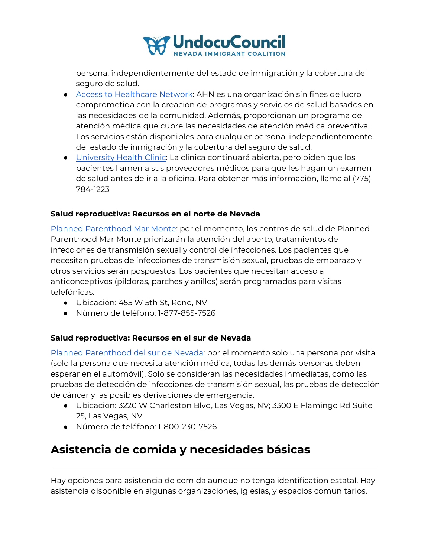

persona, independientemente del estado de inmigración y la cobertura del seguro de salud.

- Access to [Healthcare](https://www.accesstohealthcare.org/) Network: AHN es una organización sin fines de lucro comprometida con la creación de programas y servicios de salud basados en las necesidades de la comunidad. Además, proporcionan un programa de atención médica que cubre las necesidades de atención médica preventiva. Los servicios están disponibles para cualquier persona, independientemente del estado de inmigración y la cobertura del seguro de salud.
- [University](https://med.unr.edu/university-health) Health Clinic: La clínica continuará abierta, pero piden que los pacientes llamen a sus proveedores médicos para que les hagan un examen de salud antes de ir a la oficina. Para obtener más información, llame al (775) 784-1223

#### **Salud reproductiva: Recursos en el norte de Nevada**

Planned [Parenthood](https://www.plannedparenthood.org/planned-parenthood-mar-monte) Mar Monte: por el momento, los centros de salud de Planned Parenthood Mar Monte priorizarán la atención del aborto, tratamientos de infecciones de transmisión sexual y control de infecciones. Los pacientes que necesitan pruebas de infecciones de transmisión sexual, pruebas de embarazo y otros servicios serán pospuestos. Los pacientes que necesitan acceso a anticonceptivos (píldoras, parches y anillos) serán programados para visitas telefónicas.

- Ubicación: 455 W 5th St, Reno, NV
- Número de teléfono: 1-877-855-7526

#### **Salud reproductiva: Recursos en el sur de Nevada**

Planned [Parenthood](https://www.plannedparenthood.org/planned-parenthood-rocky-mountains) del sur de Nevada: por el momento solo una persona por visita (solo la persona que necesita atención médica, todas las demás personas deben esperar en el automóvil). Solo se consideran las necesidades inmediatas, como las pruebas de detección de infecciones de transmisión sexual, las pruebas de detección de cáncer y las posibles derivaciones de emergencia.

- Ubicación: 3220 W Charleston Blvd, Las Vegas, NV; 3300 E Flamingo Rd Suite 25, Las Vegas, NV
- Número de teléfono: 1-800-230-7526

## **Asistencia de comida y necesidades básicas**

Hay opciones para asistencia de comida aunque no tenga identification estatal. Hay asistencia disponible en algunas organizaciones, iglesias, y espacios comunitarios.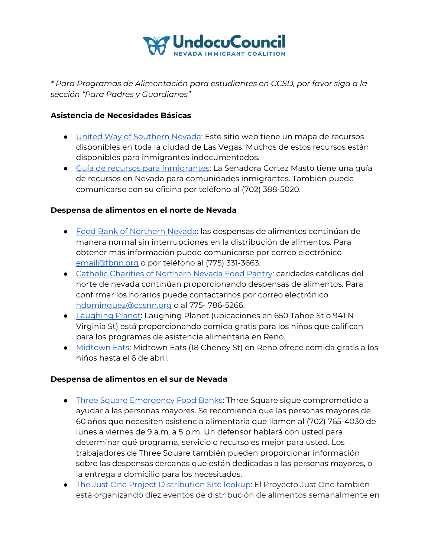

*\* Para Programas de Alimentación para estudiantes en CCSD, por favor siga a la sección "Para Padres y Guardianes"*

#### **Asistencia de Necesidades Básicas**

- United Way of [Southern](https://public.tableau.com/profile/united.way.of.southern.nevada#!/vizhome/COVID-19EmergencyAssistanceAssetMap/COVID-19EmergencyAssistanceAssetMap) Nevada: Este sitio web tiene un mapa de recursos disponibles en toda la ciudad de Las Vegas. Muchos de estos recursos están disponibles para inmigrantes indocumentados.
- Guía de recursos para [inmigrantes:](https://www.cortezmasto.senate.gov/imo/media/doc/297114%20Digital%20Constituent%20Services%20(Spanish).pdf) La Senadora Cortez Masto tiene una guía de recursos en Nevada para comunidades inmigrantes. También puede comunicarse con su oficina por teléfono al (702) 388-5020.

#### **Despensa de alimentos en el norte de Nevada**

- Food Bank of [Northern](https://fbnn.org/) Nevada: las despensas de alimentos continúan de manera normal sin interrupciones en la distribución de alimentos. Para obtener más información puede comunicarse por correo electrónico [email@fbnn.org](mailto:email@fbnn.org) o por teléfono al (775) 331-3663.
- Catholic Charities of [Northern](https://ccsnn.org/pages/food-pantry) Nevada Food Pantry: caridades católicas del norte de nevada continúan proporcionando despensas de alimentos. Para confirmar los horarios puede contactarnos por correo electrónico [hdominguez@ccsnn.org](mailto:hdominguez@ccsnn.org) o al 775- 786-5266.
- [Laughing](https://laughingplanet.com/) Planet: Laughing Planet (ubicaciones en 650 Tahoe St o 941 N Virginia St) está proporcionando comida gratis para los niños que califican para los programas de asistencia alimentaria en Reno.
- [Midtown](http://www.midtowneatsreno.com/) Eats: Midtown Eats (18 Cheney St) en Reno ofrece comida gratis a los niños hasta el 6 de abril.

#### **Despensa de alimentos en el sur de Nevada**

- Three Square [Emergency](https://www.threesquare.org/help) Food Banks: Three Square sigue comprometido a ayudar a las personas mayores. Se recomienda que las personas mayores de 60 años que necesiten asistencia alimentaria que llamen al (702) 765-4030 de lunes a viernes de 9 a.m. a 5 p.m. Un defensor hablará con usted para determinar qué programa, servicio o recurso es mejor para usted. Los trabajadores de Three Square también pueden proporcionar información sobre las despensas cercanas que están dedicadas a las personas mayores, o la entrega a domicilio para los necesitados.
- The Just One Project [Distribution](https://sites.google.com/nv.ccsd.net/covid-19updates/food-distribution-information#h.d5utc7qq4s9m) Site lookup: El Proyecto Just One también está organizando diez eventos de distribución de alimentos semanalmente en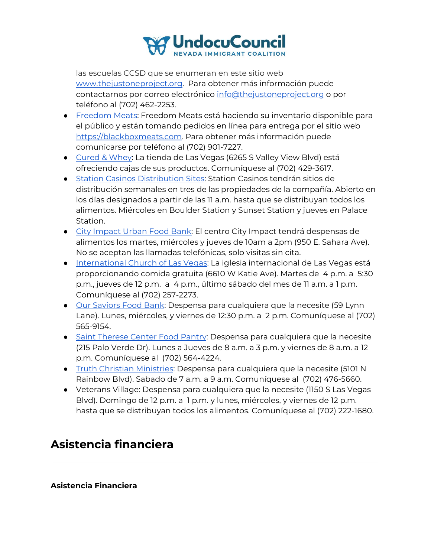

las escuelas CCSD que se enumeran en este sitio web [www.thejustoneproject.org.](http://www.thejustoneproject.org/) Para obtener más información puede contactarnos por correo electrónico [info@thejustoneproject.org](mailto:info@thejustoneproject.org) o por teléfono al (702) 462-2253.

- [Freedom](https://blackboxmeats.com/) Meats: Freedom Meats está haciendo su inventario disponible para el público y están tomando pedidos en línea para entrega por el sitio web [https://blackboxmeats.com.](https://blackboxmeats.com/) Para obtener más información puede comunicarse por teléfono al (702) 901-7227.
- [Cured](https://curedandwhey.com/) & Whey: La tienda de Las Vegas (6265 S Valley View Blvd) está ofreciendo cajas de sus productos. Comuníquese al (702) 429-3617.
- Station Casinos [Distribution](https://sites.google.com/nv.ccsd.net/covid-19updates/food-distribution-information#h.2gbqcqafdh82) Sites: Station Casinos tendrán sitios de distribución semanales en tres de las propiedades de la compañía. Abierto en los días designados a partir de las 11 a.m. hasta que se distribuyan todos los alimentos. Miércoles en Boulder Station y Sunset Station y jueves en Palace Station.
- City [Impact](https://cicnv.org/programs/) Urban Food Bank: El centro City Impact tendrá despensas de alimentos los martes, miércoles y jueves de 10am a 2pm (950 E. Sahara Ave). No se aceptan las llamadas telefónicas, solo visitas sin cita.
- [International](https://iclv.com/outreach/) Church of Las Vegas: La iglesia internacional de Las Vegas está proporcionando comida gratuita (6610 W Katie Ave). Martes de 4 p.m. a 5:30 p.m., jueves de 12 p.m. a 4 p.m., último sábado del mes de 11 a.m. a 1 p.m. Comuníquese al (702) 257-2273.
- Our [Saviors](https://oursaviorschurch.net/foodbank/) Food Bank: Despensa para cualquiera que la necesite (59 Lynn Lane). Lunes, miércoles, y viernes de 12:30 p.m. a 2 p.m. Comuníquese al (702) 565-9154.
- Saint [Therese](http://www.sainttheresecenter.org/pantry.html) Center Food Pantry: Despensa para cualquiera que la necesite (215 Palo Verde Dr). Lunes a Jueves de 8 a.m. a 3 p.m. y viernes de 8 a.m. a 12 p.m. Comuníquese al (702) 564-4224.
- Truth Christian [Ministries](https://tcmi.church/): Despensa para cualquiera que la necesite (5101 N Rainbow Blvd). Sabado de 7 a.m. a 9 a.m. Comuníquese al (702) 476-5660.
- Veterans Village: Despensa para cualquiera que la necesite (1150 S Las Vegas Blvd). Domingo de 12 p.m. a 1 p.m. y lunes, miércoles, y viernes de 12 p.m. hasta que se distribuyan todos los alimentos. Comuníquese al (702) 222-1680.

## **Asistencia financiera**

**Asistencia Financiera**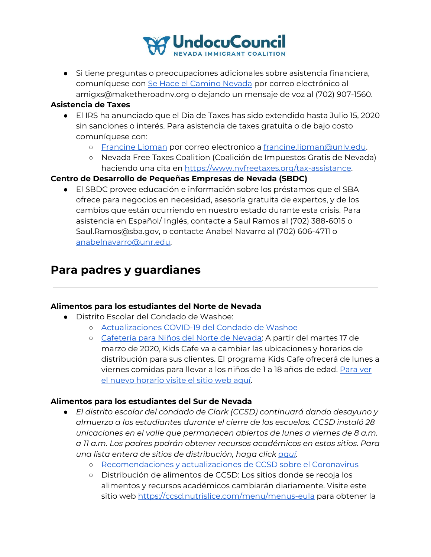

● Si tiene preguntas o preocupaciones adicionales sobre asistencia financiera, comuníquese con Se Hace el [Camino](https://maketheroadnv.org/) Nevada por correo electrónico al amigxs@maketheroadnv.org o dejando un mensaje de voz al (702) 907-1560.

#### **Asistencia de Taxes**

- El IRS ha anunciado que el Dia de Taxes has sido extendido hasta Julio 15, 2020 sin sanciones o interés. Para asistencia de taxes gratuita o de bajo costo comuníquese con:
	- o [Francine](https://law.unlv.edu/faculty/francine-lipman) Lipman por correo electronico a francine.lipman@unly.edu.
	- Nevada Free Taxes Coalition (Coalición de Impuestos Gratis de Nevada) haciendo una cita en <https://www.nvfreetaxes.org/tax-assistance>.

#### **Centro de Desarrollo de Pequeñas Empresas de Nevada (SBDC)**

● El SBDC provee educación e información sobre los préstamos que el SBA ofrece para negocios en necesidad, asesoría gratuita de expertos, y de los cambios que están ocurriendo en nuestro estado durante esta crisis. Para asistencia en Español/ Inglés, contacte a Saul Ramos al (702) 388-6015 o Saul.Ramos@sba.gov, o contacte Anabel Navarro al (702) 606-4711 o [anabelnavarro@unr.edu.](mailto:anabelnavarro@unr.edu)

## **Para padres y guardianes**

#### **Alimentos para los estudiantes del Norte de Nevada**

- Distrito Escolar del Condado de Washoe:
	- [Actualizaciones](https://www.washoeschools.net/covid19) COVID-19 del Condado de Washoe
	- [Cafetería](https://fbnn.org/get-help/kidscafe/) para Niños del Norte de Nevada: A partir del martes 17 de marzo de 2020, Kids Cafe va a cambiar las ubicaciones y horarios de distribución para sus clientes. El programa Kids Cafe ofrecerá de lunes a viernes comidas para llevar a los niños de 1 a 18 años de edad. [Para](https://fbnn.org/wp-content/uploads/2020/03/FBNN-Kids-Cafe-2020-School-Closure-Schedule-as-of-20200317.pdf) ver el nuevo [horario](https://fbnn.org/wp-content/uploads/2020/03/FBNN-Kids-Cafe-2020-School-Closure-Schedule-as-of-20200317.pdf) visite el sitio web aquí.

#### **Alimentos para los estudiantes del Sur de Nevada**

- *● El distrito escolar del condado de Clark (CCSD) continuará dando desayuno y almuerzo a los estudiantes durante el cierre de las escuelas. CCSD instaló 28 unicaciones en el valle que permanecen abiertos de lunes a viernes de 8 a.m. a 11 a.m. Los padres podrán obtener recursos académicos en estos sitios. Para una lista entera de sitios de distribución, haga click [aquí.](https://sites.google.com/nv.ccsd.net/covid-19updates/)*
	- [Recomendaciones](http://newsroom.ccsd.net/southern-nevada-health-district-recommendations/) y actualizaciones de CCSD sobre el Coronavirus
	- Distribución de alimentos de CCSD: Los sitios donde se recoja los alimentos y recursos académicos cambiarán diariamente. Visite este sitio web <https://ccsd.nutrislice.com/menu/menus-eula> para obtener la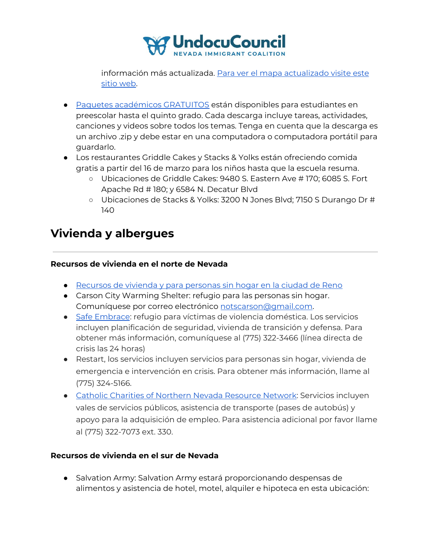

información más actualizada. Para ver el mapa [actualizado](https://www.ccsd.net/departments/food-service/) visite este sitio [web.](https://www.ccsd.net/departments/food-service/)

- Paquetes [académicos](https://www.havefunteaching.com/resources/relief-packs/) GRATUITOS están disponibles para estudiantes en preescolar hasta el quinto grado. Cada descarga incluye tareas, actividades, canciones y videos sobre todos los temas. Tenga en cuenta que la descarga es un archivo .zip y debe estar en una computadora o computadora portátil para guardarlo.
- Los restaurantes Griddle Cakes y Stacks & Yolks están ofreciendo comida gratis a partir del 16 de marzo para los niños hasta que la escuela resuma.
	- Ubicaciones de Griddle Cakes: 9480 S. Eastern Ave # 170; 6085 S. Fort Apache Rd # 180; y 6584 N. Decatur Blvd
	- Ubicaciones de Stacks & Yolks: 3200 N Jones Blvd; 7150 S Durango Dr # 140

## **Vivienda y albergues**

#### **Recursos de vivienda en el norte de Nevada**

- [Recursos](https://translate.google.com/translate?js=y&prev=_t&hl=en&ie=UTF-8&layout=1&eotf=1&sl=en&tl=es&u=https%3A//www.reno.gov/government/departments/community-development-department/housing-neighborhood-development) de vivienda y para personas sin hogar en la ciudad de Reno
- Carson City Warming Shelter: refugio para las personas sin hogar. Comuníquese por correo electrónico [notscarson@gmail.com](mailto:notscarson@gmail.com).
- Safe [Embrace](http://www.safeembrace.org/): refugio para víctimas de violencia doméstica. Los servicios incluyen planificación de seguridad, vivienda de transición y defensa. Para obtener más información, comuníquese al (775) 322-3466 (línea directa de crisis las 24 horas)
- Restart, los servicios incluyen servicios para personas sin hogar, vivienda de emergencia e intervención en crisis. Para obtener más información, llame al (775) 324-5166.
- Catholic Charities of Northern Nevada [Resource](https://ccsnn.org/pages/resource-hub) Network: Servicios incluyen vales de servicios públicos, asistencia de transporte (pases de autobús) y apoyo para la adquisición de empleo. Para asistencia adicional por favor llame al (775) 322-7073 ext. 330.

#### **Recursos de vivienda en el sur de Nevada**

● Salvation Army: Salvation Army estará proporcionando despensas de alimentos y asistencia de hotel, motel, alquiler e hipoteca en esta ubicación: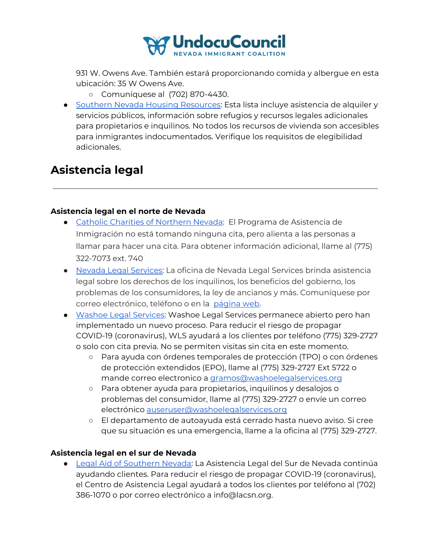

931 W. Owens Ave. También estará proporcionando comida y albergue en esta ubicación: 35 W Owens Ave.

- Comuníquese al (702) 870-4430.
- Southern Nevada Housing [Resources:](https://drive.google.com/file/d/1CoZ-DNBKebDj5dlLaqQSUJXemM72i85w/view?usp=sharing) Esta lista incluye asistencia de alquiler y servicios públicos, información sobre refugios y recursos legales adicionales para propietarios e inquilinos. No todos los recursos de vivienda son accesibles para inmigrantes indocumentados. Verifique los requisitos de elegibilidad adicionales.

## **Asistencia legal**

#### **Asistencia legal en el norte de Nevada**

- **●** Catholic Charities of [Northern](https://ccsnn.org/pages/immigration-assistance) Nevada: El Programa de Asistencia de Inmigración no está tomando ninguna cita, pero alienta a las personas a llamar para hacer una cita. Para obtener información adicional, llame al (775) 322-7073 ext. 740
- Nevada Legal [Services:](https://nlslaw.net/) La oficina de Nevada Legal Services brinda asistencia legal sobre los derechos de los inquilinos, los beneficios del gobierno, los problemas de los consumidores, la ley de ancianos y más. Comuníquese por correo electrónico, teléfono o en la [página](https://nlslaw.net/contact/) web.
- Washoe Legal [Services:](https://washoelegalservices.org/) Washoe Legal Services permanece abierto pero han implementado un nuevo proceso. Para reducir el riesgo de propagar COVID-19 (coronavirus), WLS ayudará a los clientes por teléfono (775) 329-2727 o solo con cita previa. No se permiten visitas sin cita en este momento.
	- Para ayuda con órdenes temporales de protección (TPO) o con órdenes de protección extendidos (EPO), llame al (775) 329-2727 Ext 5722 o mande correo electronico a [gramos@washoelegalservices.org](mailto:gramos@washoelegalservices.org)
	- Para obtener ayuda para propietarios, inquilinos y desalojos o problemas del consumidor, llame al (775) 329-2727 o envíe un correo electrónico [auseruser@washoelegalservices.org](mailto:auseruser@washoelegalservices.org)
	- El departamento de autoayuda está cerrado hasta nuevo aviso. Si cree que su situación es una emergencia, llame a la oficina al (775) 329-2727.

#### **Asistencia legal en el sur de Nevada**

● Legal Aid of [Southern](https://www.lacsn.org/) Nevada: La Asistencia Legal del Sur de Nevada continúa ayudando clientes. Para reducir el riesgo de propagar COVID-19 (coronavirus), el Centro de Asistencia Legal ayudará a todos los clientes por teléfono al (702) 386-1070 o por correo electrónico a info@lacsn.org.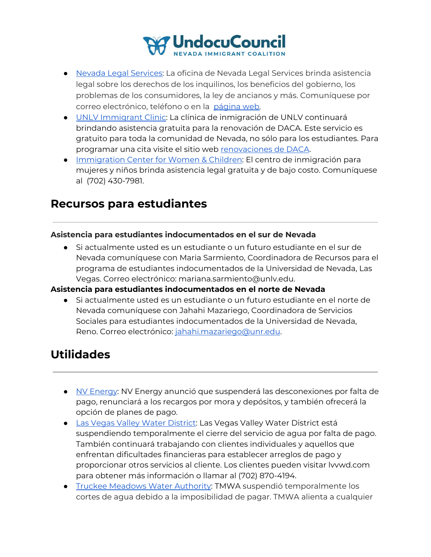

- Nevada Legal [Services:](https://nlslaw.net/) La oficina de Nevada Legal Services brinda asistencia legal sobre los derechos de los inquilinos, los beneficios del gobierno, los problemas de los consumidores, la ley de ancianos y más. Comuníquese por correo electrónico, teléfono o en la [página](https://nlslaw.net/contact/) web.
- UNLV [Immigrant](https://law.unlv.edu/clinics/immigration) Clinic: La clínica de inmigración de UNLV continuará brindando asistencia gratuita para la renovación de DACA. Este servicio es gratuito para toda la comunidad de Nevada, no sólo para los estudiantes. Para programar una cita visite el sitio web [renovaciones](https://calendly.com/university-legal-services/daca-renewal?month=2020-03) de DACA.
- [Immigration](https://www.es.icwclaw.org/) Center for Women & Children: El centro de inmigración para mujeres y niños brinda asistencia legal gratuita y de bajo costo. Comuníquese al (702) 430-7981.

## **Recursos para estudiantes**

#### **Asistencia para estudiantes indocumentados en el sur de Nevada**

● Si actualmente usted es un estudiante o un futuro estudiante en el sur de Nevada comuníquese con Maria Sarmiento, Coordinadora de Recursos para el programa de estudiantes indocumentados de la Universidad de Nevada, Las Vegas. Correo electrónico: mariana.sarmiento@unlv.edu.

#### **Asistencia para estudiantes indocumentados en el norte de Nevada**

● Si actualmente usted es un estudiante o un futuro estudiante en el norte de Nevada comuníquese con Jahahi Mazariego, Coordinadora de Servicios Sociales para estudiantes indocumentados de la Universidad de Nevada, Reno. Correo electrónico: [jahahi.mazariego@unr.edu](mailto:jahahi.mazariego@unr.edu).

## **Utilidades**

- NV [Energy](https://www.nvenergy.com/alwayson/cannon-message-covid19): NV Energy anunció que suspenderá las desconexiones por falta de pago, renunciará a los recargos por mora y depósitos, y también ofrecerá la opción de planes de pago.
- Las Vegas Valley Water [District](http://lvvwd.com/): Las Vegas Valley Water District está suspendiendo temporalmente el cierre del servicio de agua por falta de pago. También continuará trabajando con clientes individuales y aquellos que enfrentan dificultades financieras para establecer arreglos de pago y proporcionar otros servicios al cliente. Los clientes pueden visitar lvvwd.com para obtener más información o llamar al (702) 870-4194.
- Truckee [Meadows](https://tmwa.com/article/tmwa-covid-19-coronavirus-response-and-faqs/) Water Authority: TMWA suspendió temporalmente los cortes de agua debido a la imposibilidad de pagar. TMWA alienta a cualquier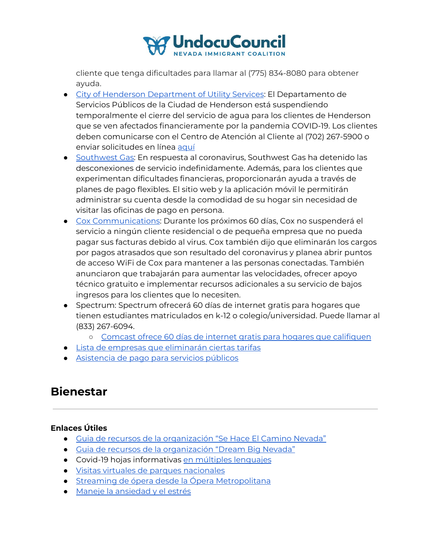

cliente que tenga dificultades para llamar al (775) 834-8080 para obtener ayuda.

- City of Henderson [Department](https://clients.comcate.com/newrequest.php?id=90&dept=903) of Utility Services: El Departamento de Servicios Públicos de la Ciudad de Henderson está suspendiendo temporalmente el cierre del servicio de agua para los clientes de Henderson que se ven afectados financieramente por la pandemia COVID-19. Los clientes deben comunicarse con el Centro de Atención al Cliente al (702) 267-5900 o enviar solicitudes en línea [aquí](https://clients.comcate.com/newrequest.php?id=90&dept=903)
- [Southwest](https://www.swgas.com/en/covid19) Gas: En respuesta al coronavirus, Southwest Gas ha detenido las desconexiones de servicio indefinidamente. Además, para los clientes que experimentan dificultades financieras, proporcionarán ayuda a través de planes de pago flexibles. El sitio web y la aplicación móvil le permitirán administrar su cuenta desde la comodidad de su hogar sin necesidad de visitar las oficinas de pago en persona.
- Cox [Communications](https://www.cox.com/residential/support/coronavirus-response.html?campcode=tnt-home-alert): Durante los próximos 60 días, Cox no suspenderá el servicio a ningún cliente residencial o de pequeña empresa que no pueda pagar sus facturas debido al virus. Cox también dijo que eliminarán los cargos por pagos atrasados que son resultado del coronavirus y planea abrir puntos de acceso WiFi de Cox para mantener a las personas conectadas. También anunciaron que trabajarán para aumentar las velocidades, ofrecer apoyo técnico gratuito e implementar recursos adicionales a su servicio de bajos ingresos para los clientes que lo necesiten.
- Spectrum: Spectrum ofrecerá 60 días de internet gratis para hogares que tienen estudiantes matriculados en k-12 o colegio/universidad. Puede llamar al (833) 267-6094.
	- Comcast ofrece 60 días de internet gratis para hogares que [califiquen](https://es.internetessentials.com/covid19#thingstoknow&all_DoIliveinaComcastarea)
- Lista de empresas que [eliminarán](https://wset.com/news/coronavirus/att-verizon-waiving-fees-comcast-offering-free-internet-amid-coronavirus-outbreak) ciertas tarifas
- [Asistencia](https://www.nevada211.org/utility-services/) de pago para servicios públicos

## **Bienestar**

#### **Enlaces Útiles**

- Guia de recursos de la [organización](https://maketheroadnv.org/resources/) "Se Hace El Camino Nevada"
- Guia de recursos de la [organización](https://dreambignv.org/resources/) "Dream Big Nevada"
- Covid-19 hojas informativas en múltiples [lenguajes](https://www.seattletimes.com/seattle-news/health/coronavirus-facts-in-spanish-chinese-amharic-and-other-languages-for-seattle-area-residents/?fbclid=IwAR2N_PrY9Xb4ZMRZU-gmd89_ZZNtxc00U8scc-R7CSSG17NtRH3bnpyXeSY)
- Visitas virtuales de parques [nacionales](https://totallythebomb.com/heres-33-national-park-tours-you-can-take-virtually-from-the-comfort-of-your-home)
- Streaming de ópera desde la Ópera [Metropolitana](https://www.metopera.org/)
- Maneje la [ansiedad](https://www.cdc.gov/coronavirus/2019-ncov/prepare/managing-stress-anxiety-sp.html) y el estrés